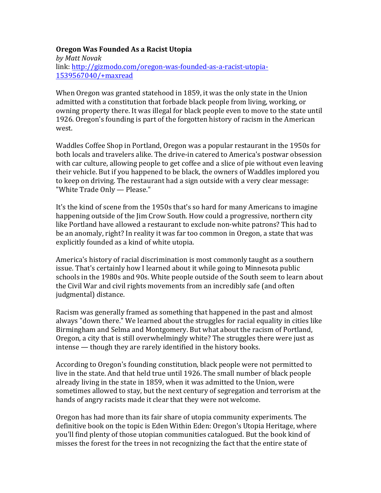### **Oregon Was Founded As a Racist Utopia**

*by Matt Novak* link: http://gizmodo.com/oregon-was-founded-as-a-racist-utopia-1539567040/+maxread

When Oregon was granted statehood in 1859, it was the only state in the Union admitted with a constitution that forbade black people from living, working, or owning property there. It was illegal for black people even to move to the state until 1926. Oregon's founding is part of the forgotten history of racism in the American west.

Waddles Coffee Shop in Portland, Oregon was a popular restaurant in the 1950s for both locals and travelers alike. The drive-in catered to America's postwar obsession with car culture, allowing people to get coffee and a slice of pie without even leaving their vehicle. But if you happened to be black, the owners of Waddles implored you to keep on driving. The restaurant had a sign outside with a very clear message: "White Trade Only — Please."

It's the kind of scene from the 1950s that's so hard for many Americans to imagine happening outside of the Jim Crow South. How could a progressive, northern city like Portland have allowed a restaurant to exclude non-white patrons? This had to be an anomaly, right? In reality it was far too common in Oregon, a state that was explicitly founded as a kind of white utopia.

America's history of racial discrimination is most commonly taught as a southern issue. That's certainly how I learned about it while going to Minnesota public schools in the 1980s and 90s. White people outside of the South seem to learn about the Civil War and civil rights movements from an incredibly safe (and often judgmental) distance.

Racism was generally framed as something that happened in the past and almost always "down there." We learned about the struggles for racial equality in cities like Birmingham and Selma and Montgomery. But what about the racism of Portland, Oregon, a city that is still overwhelmingly white? The struggles there were just as  $intense$  — though they are rarely identified in the history books.

According to Oregon's founding constitution, black people were not permitted to live in the state. And that held true until 1926. The small number of black people already living in the state in 1859, when it was admitted to the Union, were sometimes allowed to stay, but the next century of segregation and terrorism at the hands of angry racists made it clear that they were not welcome.

Oregon has had more than its fair share of utopia community experiments. The definitive book on the topic is Eden Within Eden: Oregon's Utopia Heritage, where you'll find plenty of those utopian communities catalogued. But the book kind of misses the forest for the trees in not recognizing the fact that the entire state of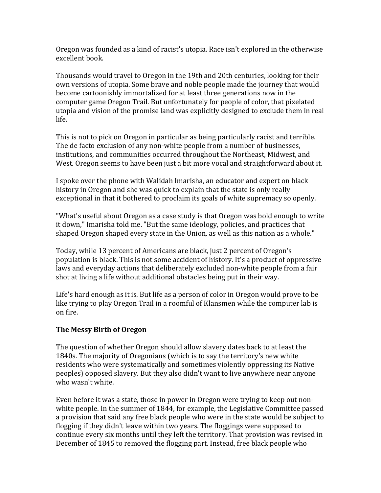Oregon was founded as a kind of racist's utopia. Race isn't explored in the otherwise excellent book.

Thousands would travel to Oregon in the 19th and 20th centuries, looking for their own versions of utopia. Some brave and noble people made the journey that would become cartoonishly immortalized for at least three generations now in the computer game Oregon Trail. But unfortunately for people of color, that pixelated utopia and vision of the promise land was explicitly designed to exclude them in real life.

This is not to pick on Oregon in particular as being particularly racist and terrible. The de facto exclusion of any non-white people from a number of businesses, institutions, and communities occurred throughout the Northeast, Midwest, and West. Oregon seems to have been just a bit more vocal and straightforward about it.

I spoke over the phone with Walidah Imarisha, an educator and expert on black history in Oregon and she was quick to explain that the state is only really exceptional in that it bothered to proclaim its goals of white supremacy so openly.

"What's useful about Oregon as a case study is that Oregon was bold enough to write it down," Imarisha told me. "But the same ideology, policies, and practices that shaped Oregon shaped every state in the Union, as well as this nation as a whole."

Today, while 13 percent of Americans are black, just 2 percent of Oregon's population is black. This is not some accident of history. It's a product of oppressive laws and everyday actions that deliberately excluded non-white people from a fair shot at living a life without additional obstacles being put in their way.

Life's hard enough as it is. But life as a person of color in Oregon would prove to be like trying to play Oregon Trail in a roomful of Klansmen while the computer lab is on fire.

# **The Messy Birth of Oregon**

The question of whether Oregon should allow slavery dates back to at least the 1840s. The majority of Oregonians (which is to say the territory's new white residents who were systematically and sometimes violently oppressing its Native peoples) opposed slavery. But they also didn't want to live anywhere near anyone who wasn't white.

Even before it was a state, those in power in Oregon were trying to keep out nonwhite people. In the summer of 1844, for example, the Legislative Committee passed a provision that said any free black people who were in the state would be subject to flogging if they didn't leave within two years. The floggings were supposed to continue every six months until they left the territory. That provision was revised in December of 1845 to removed the flogging part. Instead, free black people who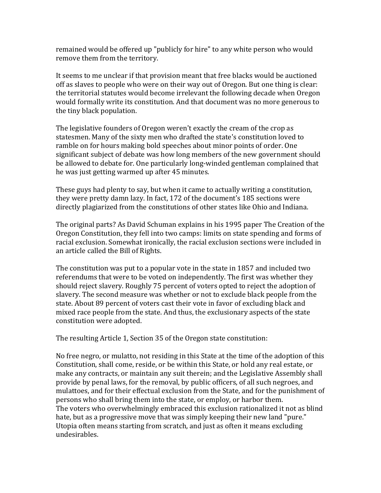remained would be offered up "publicly for hire" to any white person who would remove them from the territory.

It seems to me unclear if that provision meant that free blacks would be auctioned off as slaves to people who were on their way out of Oregon. But one thing is clear: the territorial statutes would become irrelevant the following decade when Oregon would formally write its constitution. And that document was no more generous to the tiny black population.

The legislative founders of Oregon weren't exactly the cream of the crop as statesmen. Many of the sixty men who drafted the state's constitution loved to ramble on for hours making bold speeches about minor points of order. One significant subject of debate was how long members of the new government should be allowed to debate for. One particularly long-winded gentleman complained that he was just getting warmed up after 45 minutes.

These guys had plenty to say, but when it came to actually writing a constitution, they were pretty damn lazy. In fact, 172 of the document's 185 sections were directly plagiarized from the constitutions of other states like Ohio and Indiana.

The original parts? As David Schuman explains in his 1995 paper The Creation of the Oregon Constitution, they fell into two camps: limits on state spending and forms of racial exclusion. Somewhat ironically, the racial exclusion sections were included in an article called the Bill of Rights.

The constitution was put to a popular vote in the state in 1857 and included two referendums that were to be voted on independently. The first was whether they should reject slavery. Roughly 75 percent of voters opted to reject the adoption of slavery. The second measure was whether or not to exclude black people from the state. About 89 percent of voters cast their vote in favor of excluding black and mixed race people from the state. And thus, the exclusionary aspects of the state constitution were adopted.

The resulting Article 1, Section 35 of the Oregon state constitution:

No free negro, or mulatto, not residing in this State at the time of the adoption of this Constitution, shall come, reside, or be within this State, or hold any real estate, or make any contracts, or maintain any suit therein; and the Legislative Assembly shall provide by penal laws, for the removal, by public officers, of all such negroes, and mulattoes, and for their effectual exclusion from the State, and for the punishment of persons who shall bring them into the state, or employ, or harbor them. The voters who overwhelmingly embraced this exclusion rationalized it not as blind hate, but as a progressive move that was simply keeping their new land "pure." Utopia often means starting from scratch, and just as often it means excluding undesirables.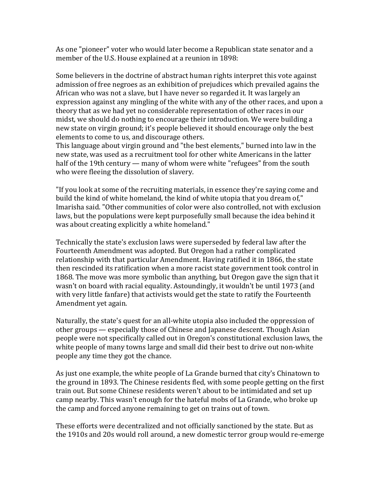As one "pioneer" voter who would later become a Republican state senator and a member of the U.S. House explained at a reunion in 1898:

Some believers in the doctrine of abstract human rights interpret this vote against admission of free negroes as an exhibition of prejudices which prevailed agains the African who was not a slave, but I have never so regarded it. It was largely an expression against any mingling of the white with any of the other races, and upon a theory that as we had yet no considerable representation of other races in our midst, we should do nothing to encourage their introduction. We were building a new state on virgin ground; it's people believed it should encourage only the best elements to come to us, and discourage others.

This language about virgin ground and "the best elements," burned into law in the new state, was used as a recruitment tool for other white Americans in the latter half of the 19th century — many of whom were white "refugees" from the south who were fleeing the dissolution of slavery.

"If you look at some of the recruiting materials, in essence they're saying come and build the kind of white homeland, the kind of white utopia that you dream of," Imarisha said. "Other communities of color were also controlled, not with exclusion laws, but the populations were kept purposefully small because the idea behind it was about creating explicitly a white homeland."

Technically the state's exclusion laws were superseded by federal law after the Fourteenth Amendment was adopted. But Oregon had a rather complicated relationship with that particular Amendment. Having ratified it in 1866, the state then rescinded its ratification when a more racist state government took control in 1868. The move was more symbolic than anything, but Oregon gave the sign that it wasn't on board with racial equality. Astoundingly, it wouldn't be until 1973 (and with very little fanfare) that activists would get the state to ratify the Fourteenth Amendment yet again.

Naturally, the state's quest for an all-white utopia also included the oppression of other groups — especially those of Chinese and Japanese descent. Though Asian people were not specifically called out in Oregon's constitutional exclusion laws, the white people of many towns large and small did their best to drive out non-white people any time they got the chance.

As just one example, the white people of La Grande burned that city's Chinatown to the ground in 1893. The Chinese residents fled, with some people getting on the first train out. But some Chinese residents weren't about to be intimidated and set up camp nearby. This wasn't enough for the hateful mobs of La Grande, who broke up the camp and forced anyone remaining to get on trains out of town.

These efforts were decentralized and not officially sanctioned by the state. But as the 1910s and 20s would roll around, a new domestic terror group would re-emerge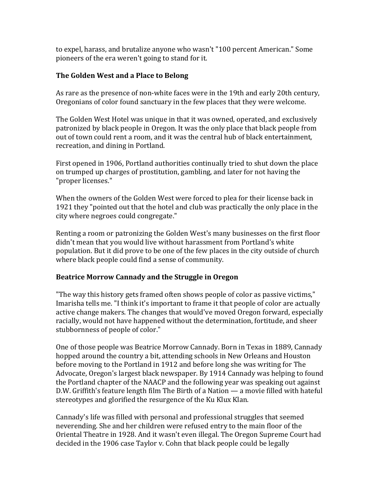to expel, harass, and brutalize anyone who wasn't "100 percent American." Some pioneers of the era weren't going to stand for it.

### **The Golden West and a Place to Belong**

As rare as the presence of non-white faces were in the 19th and early 20th century, Oregonians of color found sanctuary in the few places that they were welcome.

The Golden West Hotel was unique in that it was owned, operated, and exclusively patronized by black people in Oregon. It was the only place that black people from out of town could rent a room, and it was the central hub of black entertainment, recreation, and dining in Portland.

First opened in 1906, Portland authorities continually tried to shut down the place on trumped up charges of prostitution, gambling, and later for not having the "proper licenses."

When the owners of the Golden West were forced to plea for their license back in 1921 they "pointed out that the hotel and club was practically the only place in the city where negroes could congregate."

Renting a room or patronizing the Golden West's many businesses on the first floor didn't mean that you would live without harassment from Portland's white population. But it did prove to be one of the few places in the city outside of church where black people could find a sense of community.

# Beatrice Morrow Cannady and the Struggle in Oregon

"The way this history gets framed often shows people of color as passive victims," Imarisha tells me. "I think it's important to frame it that people of color are actually active change makers. The changes that would've moved Oregon forward, especially racially, would not have happened without the determination, fortitude, and sheer stubbornness of people of color."

One of those people was Beatrice Morrow Cannady. Born in Texas in 1889, Cannady hopped around the country a bit, attending schools in New Orleans and Houston before moving to the Portland in 1912 and before long she was writing for The Advocate, Oregon's largest black newspaper. By 1914 Cannady was helping to found the Portland chapter of the NAACP and the following year was speaking out against D.W. Griffith's feature length film The Birth of a Nation — a movie filled with hateful stereotypes and glorified the resurgence of the Ku Klux Klan.

Cannady's life was filled with personal and professional struggles that seemed neverending. She and her children were refused entry to the main floor of the Oriental Theatre in 1928. And it wasn't even illegal. The Oregon Supreme Court had decided in the 1906 case Taylor v. Cohn that black people could be legally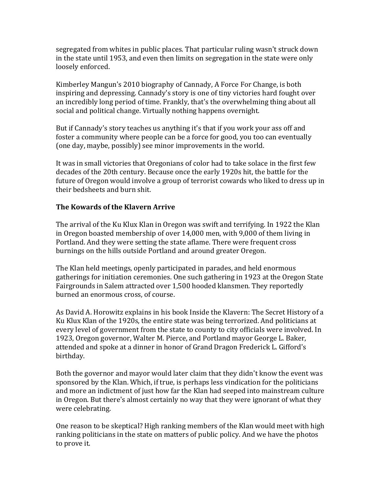segregated from whites in public places. That particular ruling wasn't struck down in the state until 1953, and even then limits on segregation in the state were only loosely enforced.

Kimberley Mangun's 2010 biography of Cannady, A Force For Change, is both inspiring and depressing. Cannady's story is one of tiny victories hard fought over an incredibly long period of time. Frankly, that's the overwhelming thing about all social and political change. Virtually nothing happens overnight.

But if Cannady's story teaches us anything it's that if you work your ass off and foster a community where people can be a force for good, you too can eventually (one day, maybe, possibly) see minor improvements in the world.

It was in small victories that Oregonians of color had to take solace in the first few decades of the 20th century. Because once the early 1920s hit, the battle for the future of Oregon would involve a group of terrorist cowards who liked to dress up in their bedsheets and burn shit.

### **The Kowards of the Klavern Arrive**

The arrival of the Ku Klux Klan in Oregon was swift and terrifying. In 1922 the Klan in Oregon boasted membership of over 14,000 men, with 9,000 of them living in Portland. And they were setting the state aflame. There were frequent cross burnings on the hills outside Portland and around greater Oregon.

The Klan held meetings, openly participated in parades, and held enormous gatherings for initiation ceremonies. One such gathering in 1923 at the Oregon State Fairgrounds in Salem attracted over 1,500 hooded klansmen. They reportedly burned an enormous cross, of course.

As David A. Horowitz explains in his book Inside the Klavern: The Secret History of a Ku Klux Klan of the 1920s, the entire state was being terrorized. And politicians at every level of government from the state to county to city officials were involved. In 1923, Oregon governor, Walter M. Pierce, and Portland mayor George L. Baker, attended and spoke at a dinner in honor of Grand Dragon Frederick L. Gifford's birthday.

Both the governor and mayor would later claim that they didn't know the event was sponsored by the Klan. Which, if true, is perhaps less vindication for the politicians and more an indictment of just how far the Klan had seeped into mainstream culture in Oregon. But there's almost certainly no way that they were ignorant of what they were celebrating.

One reason to be skeptical? High ranking members of the Klan would meet with high ranking politicians in the state on matters of public policy. And we have the photos to prove it.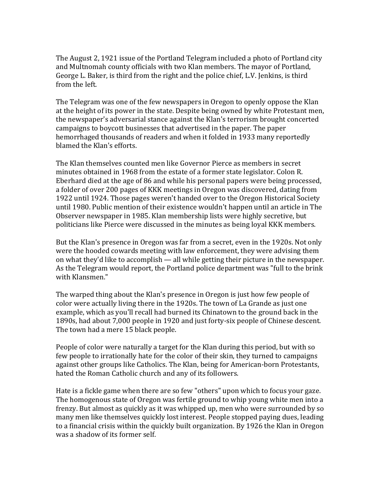The August 2, 1921 issue of the Portland Telegram included a photo of Portland city and Multnomah county officials with two Klan members. The mayor of Portland, George L. Baker, is third from the right and the police chief, L.V. Jenkins, is third from the left.

The Telegram was one of the few newspapers in Oregon to openly oppose the Klan at the height of its power in the state. Despite being owned by white Protestant men, the newspaper's adversarial stance against the Klan's terrorism brought concerted campaigns to boycott businesses that advertised in the paper. The paper hemorrhaged thousands of readers and when it folded in 1933 many reportedly blamed the Klan's efforts.

The Klan themselves counted men like Governor Pierce as members in secret minutes obtained in 1968 from the estate of a former state legislator. Colon R. Eberhard died at the age of 86 and while his personal papers were being processed, a folder of over 200 pages of KKK meetings in Oregon was discovered, dating from 1922 until 1924. Those pages weren't handed over to the Oregon Historical Society until 1980. Public mention of their existence wouldn't happen until an article in The Observer newspaper in 1985. Klan membership lists were highly secretive, but politicians like Pierce were discussed in the minutes as being loyal KKK members.

But the Klan's presence in Oregon was far from a secret, even in the 1920s. Not only were the hooded cowards meeting with law enforcement, they were advising them on what they'd like to accomplish  $-$  all while getting their picture in the newspaper. As the Telegram would report, the Portland police department was "full to the brink with Klansmen."

The warped thing about the Klan's presence in Oregon is just how few people of color were actually living there in the 1920s. The town of La Grande as just one example, which as you'll recall had burned its Chinatown to the ground back in the 1890s, had about 7,000 people in 1920 and just forty-six people of Chinese descent. The town had a mere 15 black people.

People of color were naturally a target for the Klan during this period, but with so few people to irrationally hate for the color of their skin, they turned to campaigns against other groups like Catholics. The Klan, being for American-born Protestants, hated the Roman Catholic church and any of its followers.

Hate is a fickle game when there are so few "others" upon which to focus your gaze. The homogenous state of Oregon was fertile ground to whip young white men into a frenzy. But almost as quickly as it was whipped up, men who were surrounded by so many men like themselves quickly lost interest. People stopped paying dues, leading to a financial crisis within the quickly built organization. By 1926 the Klan in Oregon was a shadow of its former self.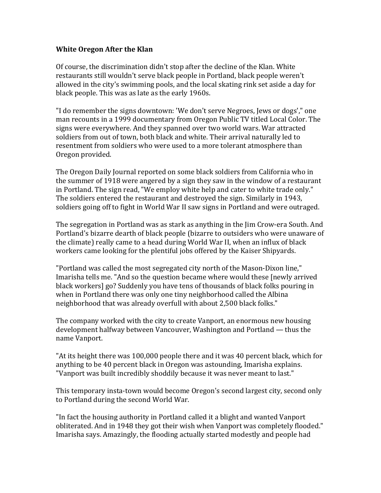#### **White Oregon After the Klan**

Of course, the discrimination didn't stop after the decline of the Klan. White restaurants still wouldn't serve black people in Portland, black people weren't allowed in the city's swimming pools, and the local skating rink set aside a day for black people. This was as late as the early 1960s.

"I do remember the signs downtown: 'We don't serve Negroes, Jews or dogs'," one man recounts in a 1999 documentary from Oregon Public TV titled Local Color. The signs were everywhere. And they spanned over two world wars. War attracted soldiers from out of town, both black and white. Their arrival naturally led to resentment from soldiers who were used to a more tolerant atmosphere than Oregon provided.

The Oregon Daily Journal reported on some black soldiers from California who in the summer of 1918 were angered by a sign they saw in the window of a restaurant in Portland. The sign read, "We employ white help and cater to white trade only." The soldiers entered the restaurant and destroyed the sign. Similarly in 1943, soldiers going off to fight in World War II saw signs in Portland and were outraged.

The segregation in Portland was as stark as anything in the  $\lim$  Crow-era South. And Portland's bizarre dearth of black people (bizarre to outsiders who were unaware of the climate) really came to a head during World War II, when an influx of black workers came looking for the plentiful jobs offered by the Kaiser Shipyards.

"Portland was called the most segregated city north of the Mason-Dixon line," Imarisha tells me. "And so the question became where would these [newly arrived black workers] go? Suddenly you have tens of thousands of black folks pouring in when in Portland there was only one tiny neighborhood called the Albina neighborhood that was already overfull with about 2,500 black folks."

The company worked with the city to create Vanport, an enormous new housing development halfway between Vancouver, Washington and Portland — thus the name Vanport.

"At its height there was 100,000 people there and it was 40 percent black, which for anything to be 40 percent black in Oregon was astounding, Imarisha explains. "Vanport was built incredibly shoddily because it was never meant to last."

This temporary insta-town would become Oregon's second largest city, second only to Portland during the second World War.

"In fact the housing authority in Portland called it a blight and wanted Vanport obliterated. And in 1948 they got their wish when Vanport was completely flooded." Imarisha says. Amazingly, the flooding actually started modestly and people had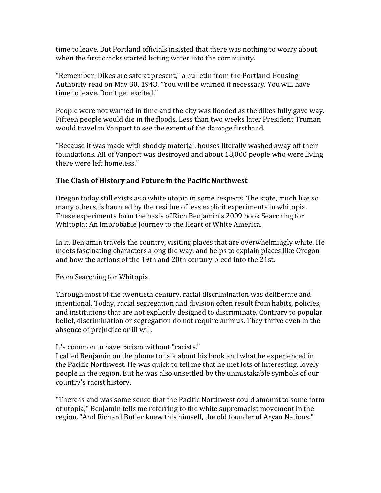time to leave. But Portland officials insisted that there was nothing to worry about when the first cracks started letting water into the community.

"Remember: Dikes are safe at present," a bulletin from the Portland Housing Authority read on May 30, 1948. "You will be warned if necessary. You will have time to leave. Don't get excited."

People were not warned in time and the city was flooded as the dikes fully gave way. Fifteen people would die in the floods. Less than two weeks later President Truman would travel to Vanport to see the extent of the damage firsthand.

"Because it was made with shoddy material, houses literally washed away off their foundations. All of Vanport was destroyed and about 18,000 people who were living there were left homeless."

# The Clash of History and Future in the Pacific Northwest

Oregon today still exists as a white utopia in some respects. The state, much like so many others, is haunted by the residue of less explicit experiments in whitopia. These experiments form the basis of Rich Benjamin's 2009 book Searching for Whitopia: An Improbable Journey to the Heart of White America.

In it, Benjamin travels the country, visiting places that are overwhelmingly white. He meets fascinating characters along the way, and helps to explain places like Oregon and how the actions of the 19th and 20th century bleed into the 21st.

From Searching for Whitopia:

Through most of the twentieth century, racial discrimination was deliberate and intentional. Today, racial segregation and division often result from habits, policies, and institutions that are not explicitly designed to discriminate. Contrary to popular belief, discrimination or segregation do not require animus. They thrive even in the absence of prejudice or ill will.

It's common to have racism without "racists."

I called Benjamin on the phone to talk about his book and what he experienced in the Pacific Northwest. He was quick to tell me that he met lots of interesting, lovely people in the region. But he was also unsettled by the unmistakable symbols of our country's racist history.

"There is and was some sense that the Pacific Northwest could amount to some form of utopia," Benjamin tells me referring to the white supremacist movement in the region. "And Richard Butler knew this himself, the old founder of Aryan Nations."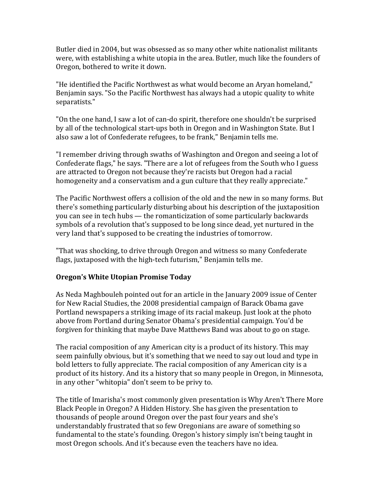Butler died in 2004, but was obsessed as so many other white nationalist militants were, with establishing a white utopia in the area. Butler, much like the founders of Oregon, bothered to write it down.

"He identified the Pacific Northwest as what would become an Aryan homeland," Benjamin says. "So the Pacific Northwest has always had a utopic quality to white separatists."

"On the one hand, I saw a lot of can-do spirit, therefore one shouldn't be surprised by all of the technological start-ups both in Oregon and in Washington State. But I also saw a lot of Confederate refugees, to be frank," Benjamin tells me.

"I remember driving through swaths of Washington and Oregon and seeing a lot of Confederate flags," he says. "There are a lot of refugees from the South who I guess are attracted to Oregon not because they're racists but Oregon had a racial homogeneity and a conservatism and a gun culture that they really appreciate."

The Pacific Northwest offers a collision of the old and the new in so many forms. But there's something particularly disturbing about his description of the juxtaposition you can see in tech hubs — the romanticization of some particularly backwards symbols of a revolution that's supposed to be long since dead, yet nurtured in the very land that's supposed to be creating the industries of tomorrow.

"That was shocking, to drive through Oregon and witness so many Confederate flags, juxtaposed with the high-tech futurism," Benjamin tells me.

# **Oregon's White Utopian Promise Today**

As Neda Maghbouleh pointed out for an article in the January 2009 issue of Center for New Racial Studies, the 2008 presidential campaign of Barack Obama gave Portland newspapers a striking image of its racial makeup. Just look at the photo above from Portland during Senator Obama's presidential campaign. You'd be forgiven for thinking that maybe Dave Matthews Band was about to go on stage.

The racial composition of any American city is a product of its history. This may seem painfully obvious, but it's something that we need to say out loud and type in bold letters to fully appreciate. The racial composition of any American city is a product of its history. And its a history that so many people in Oregon, in Minnesota, in any other "whitopia" don't seem to be privy to.

The title of Imarisha's most commonly given presentation is Why Aren't There More Black People in Oregon? A Hidden History. She has given the presentation to thousands of people around Oregon over the past four years and she's understandably frustrated that so few Oregonians are aware of something so fundamental to the state's founding. Oregon's history simply isn't being taught in most Oregon schools. And it's because even the teachers have no idea.